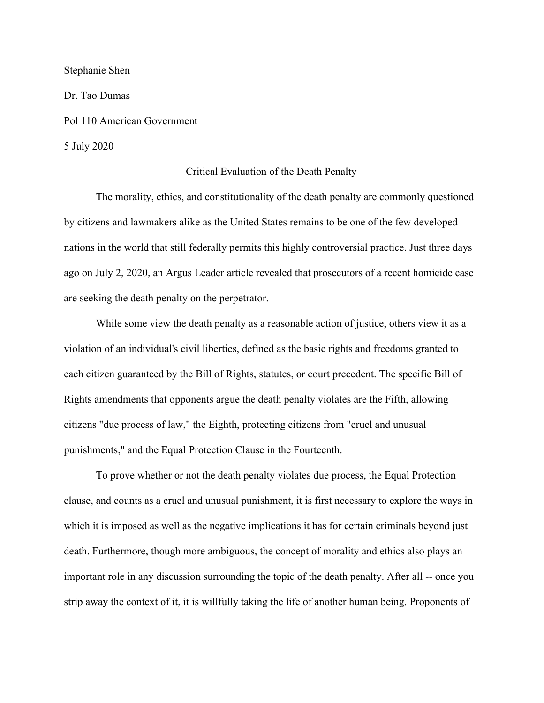Stephanie Shen

Dr. Tao Dumas Pol 110 American Government 5 July 2020

## Critical Evaluation of the Death Penalty

The morality, ethics, and constitutionality of the death penalty are commonly questioned by citizens and lawmakers alike as the United States remains to be one of the few developed nations in the world that still federally permits this highly controversial practice. Just three days ago on July 2, 2020, an Argus Leader article revealed that prosecutors of a recent homicide case are seeking the death penalty on the perpetrator.

While some view the death penalty as a reasonable action of justice, others view it as a violation of an individual's civil liberties, defined as the basic rights and freedoms granted to each citizen guaranteed by the Bill of Rights, statutes, or court precedent. The specific Bill of Rights amendments that opponents argue the death penalty violates are the Fifth, allowing citizens "due process of law," the Eighth, protecting citizens from "cruel and unusual punishments," and the Equal Protection Clause in the Fourteenth.

To prove whether or not the death penalty violates due process, the Equal Protection clause, and counts as a cruel and unusual punishment, it is first necessary to explore the ways in which it is imposed as well as the negative implications it has for certain criminals beyond just death. Furthermore, though more ambiguous, the concept of morality and ethics also plays an important role in any discussion surrounding the topic of the death penalty. After all -- once you strip away the context of it, it is willfully taking the life of another human being. Proponents of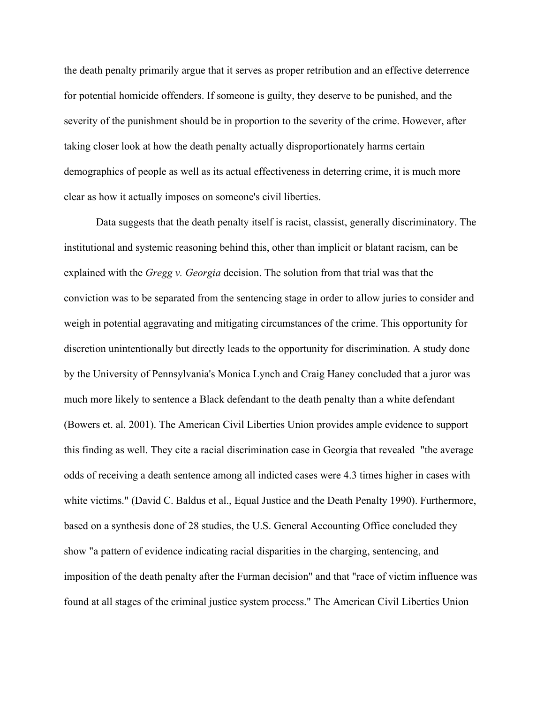the death penalty primarily argue that it serves as proper retribution and an effective deterrence for potential homicide offenders. If someone is guilty, they deserve to be punished, and the severity of the punishment should be in proportion to the severity of the crime. However, after taking closer look at how the death penalty actually disproportionately harms certain demographics of people as well as its actual effectiveness in deterring crime, it is much more clear as how it actually imposes on someone's civil liberties.

Data suggests that the death penalty itself is racist, classist, generally discriminatory. The institutional and systemic reasoning behind this, other than implicit or blatant racism, can be explained with the *Gregg v. Georgia* decision. The solution from that trial was that the conviction was to be separated from the sentencing stage in order to allow juries to consider and weigh in potential aggravating and mitigating circumstances of the crime. This opportunity for discretion unintentionally but directly leads to the opportunity for discrimination. A study done by the University of Pennsylvania's Monica Lynch and Craig Haney concluded that a juror was much more likely to sentence a Black defendant to the death penalty than a white defendant (Bowers et. al. 2001). The American Civil Liberties Union provides ample evidence to support this finding as well. They cite a racial discrimination case in Georgia that revealed "the average odds of receiving a death sentence among all indicted cases were 4.3 times higher in cases with white victims." (David C. Baldus et al., Equal Justice and the Death Penalty 1990). Furthermore, based on a synthesis done of 28 studies, the U.S. General Accounting Office concluded they show "a pattern of evidence indicating racial disparities in the charging, sentencing, and imposition of the death penalty after the Furman decision" and that "race of victim influence was found at all stages of the criminal justice system process." The American Civil Liberties Union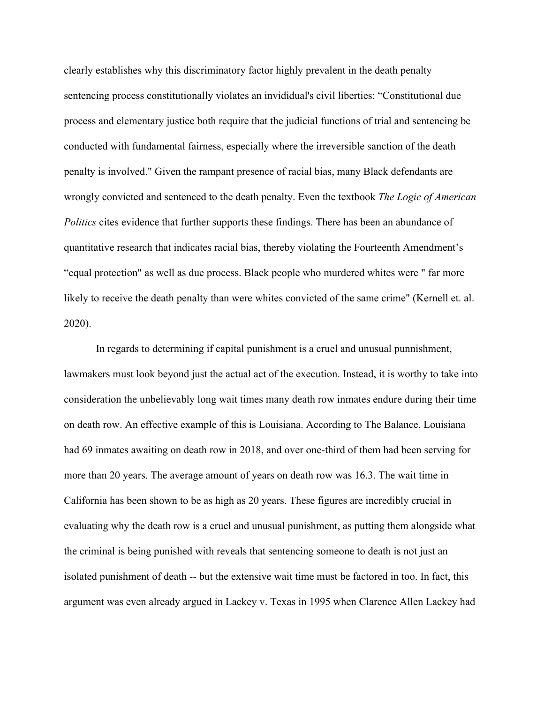clearly establishes why this discriminatory factor highly prevalent in the death penalty sentencing process constitutionally violates an invididual's civil liberties: "Constitutional due process and elementary justice both require that the judicial functions of trial and sentencing be conducted with fundamental fairness, especially where the irreversible sanction of the death penalty is involved." Given the rampant presence of racial bias, many Black defendants are wrongly convicted and sentenced to the death penalty. Even the textbook *The Logic of American Politics* cites evidence that further supports these findings. There has been an abundance of quantitative research that indicates racial bias, thereby violating the Fourteenth Amendment's "equal protection" as well as due process. Black people who murdered whites were " far more likely to receive the death penalty than were whites convicted of the same crime" (Kernell et. al. 2020).

In regards to determining if capital punishment is a cruel and unusual punnishment, lawmakers must look beyond just the actual act of the execution. Instead, it is worthy to take into consideration the unbelievably long wait times many death row inmates endure during their time on death row. An effective example of this is Louisiana. According to The Balance, Louisiana had 69 inmates awaiting on death row in 2018, and over one-third of them had been serving for more than 20 years. The average amount of years on death row was 16.3. The wait time in California has been shown to be as high as 20 years. These figures are incredibly crucial in evaluating why the death row is a cruel and unusual punishment, as putting them alongside what the criminal is being punished with reveals that sentencing someone to death is not just an isolated punishment of death -- but the extensive wait time must be factored in too. In fact, this argument was even already argued in Lackey v. Texas in 1995 when Clarence Allen Lackey had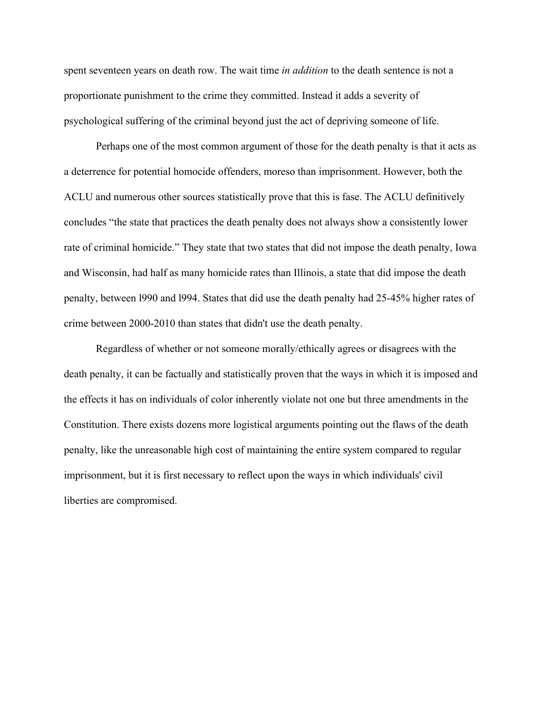spent seventeen years on death row. The wait time *in addition* to the death sentence is not a proportionate punishment to the crime they committed. Instead it adds a severity of psychological suffering of the criminal beyond just the act of depriving someone of life.

Perhaps one of the most common argument of those for the death penalty is that it acts as a deterrence for potential homocide offenders, moreso than imprisonment. However, both the ACLU and numerous other sources statistically prove that this is fase. The ACLU definitively concludes "the state that practices the death penalty does not always show a consistently lower rate of criminal homicide." They state that two states that did not impose the death penalty, Iowa and Wisconsin, had half as many homicide rates than Illinois, a state that did impose the death penalty, between l990 and l994. States that did use the death penalty had 25-45% higher rates of crime between 2000-2010 than states that didn't use the death penalty.

Regardless of whether or not someone morally/ethically agrees or disagrees with the death penalty, it can be factually and statistically proven that the ways in which it is imposed and the effects it has on individuals of color inherently violate not one but three amendments in the Constitution. There exists dozens more logistical arguments pointing out the flaws of the death penalty, like the unreasonable high cost of maintaining the entire system compared to regular imprisonment, but it is first necessary to reflect upon the ways in which individuals' civil liberties are compromised.